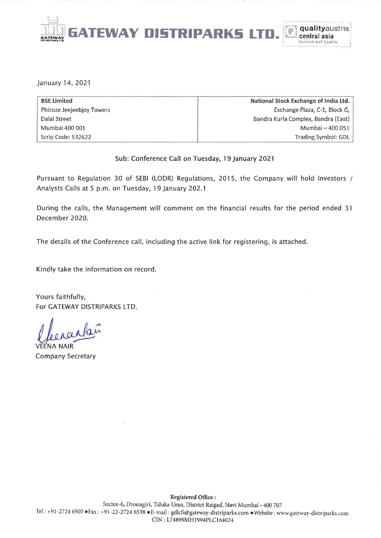

January 14,2021

| <b>BSE Limited</b>        | National Stock Exchange of India Ltd. |
|---------------------------|---------------------------------------|
| Phiroze Jeejeebjoy Towers | Exchange Plaza, C-1, Block G,         |
| Dalal Street              | Bandra Kurla Complex, Bandra (East)   |
| Mumbai 400 001            | Mumbai - 400 051                      |
| Scrip Code: 532622        | Trading Symbol: GDL                   |

#### Sub: Conference Call on Tuesday, 19 January 2021

Pursuant to Regulation 30 of SEBI (LODR) Regulations, 2015, the Company will hold Investors / Analysts Calls at 5 p.m. on Tuesday, 19 January 202.1

During the calls, the Management will comment on the financial results for the period ended 31 December 2020.

The details of the Conference call, including the active link for registering, is attached.

Kindly take the information on record.

Yours faithfully, For GATEWAY DISTRIPARKS LTD. For GATEWAY DISTRIPARKS LTD.<br>For GATEWAY DISTRIPARKS LTD.<br>Leeaaaaaaa

V Company Secretary